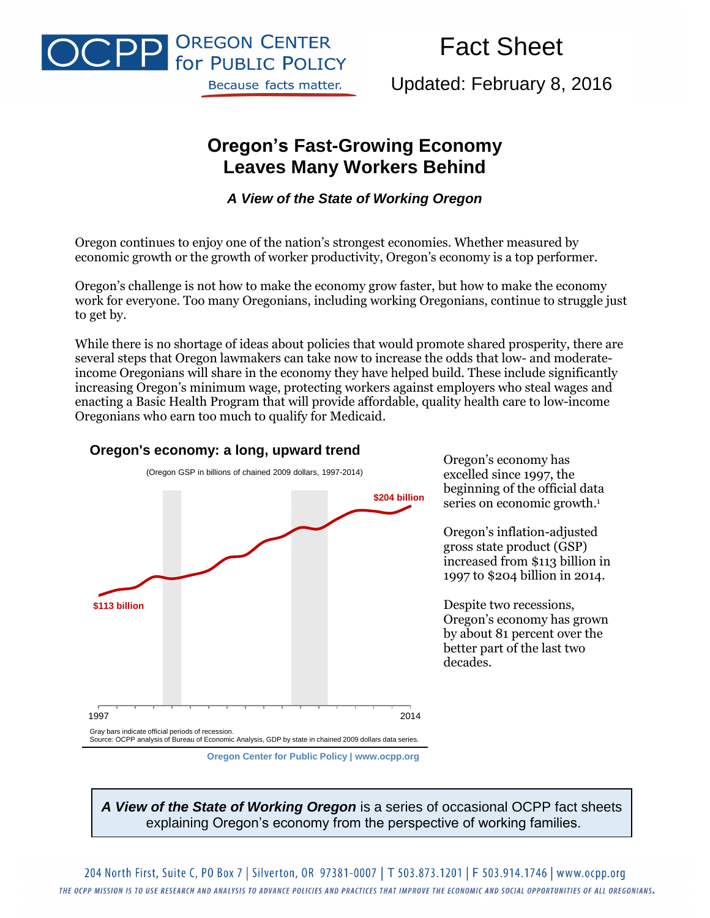

# Fact Sheet

Updated: February 8, 2016

# **Oregon's Fast-Growing Economy Leaves Many Workers Behind**

*A View of the State of Working Oregon*

Oregon continues to enjoy one of the nation's strongest economies. Whether measured by economic growth or the growth of worker productivity, Oregon's economy is a top performer.

Oregon's challenge is not how to make the economy grow faster, but how to make the economy work for everyone. Too many Oregonians, including working Oregonians, continue to struggle just to get by.

While there is no shortage of ideas about policies that would promote shared prosperity, there are several steps that Oregon lawmakers can take now to increase the odds that low- and moderateincome Oregonians will share in the economy they have helped build. These include significantly increasing Oregon's minimum wage, protecting workers against employers who steal wages and enacting a Basic Health Program that will provide affordable, quality health care to low-income Oregonians who earn too much to qualify for Medicaid.



**Oregon's economy: a long, upward trend**

Oregon's economy has excelled since 1997, the beginning of the official data series on economic growth. 1

Oregon's inflation-adjusted gross state product (GSP) increased from \$113 billion in 1997 to \$204 billion in 2014.

Despite two recessions, Oregon's economy has grown by about 81 percent over the better part of the last two decades.

*A View of the State of Working Oregon* is a series of occasional OCPP fact sheets explaining Oregon's economy from the perspective of working families.

**Oregon Center for Public Policy | www.ocpp.org**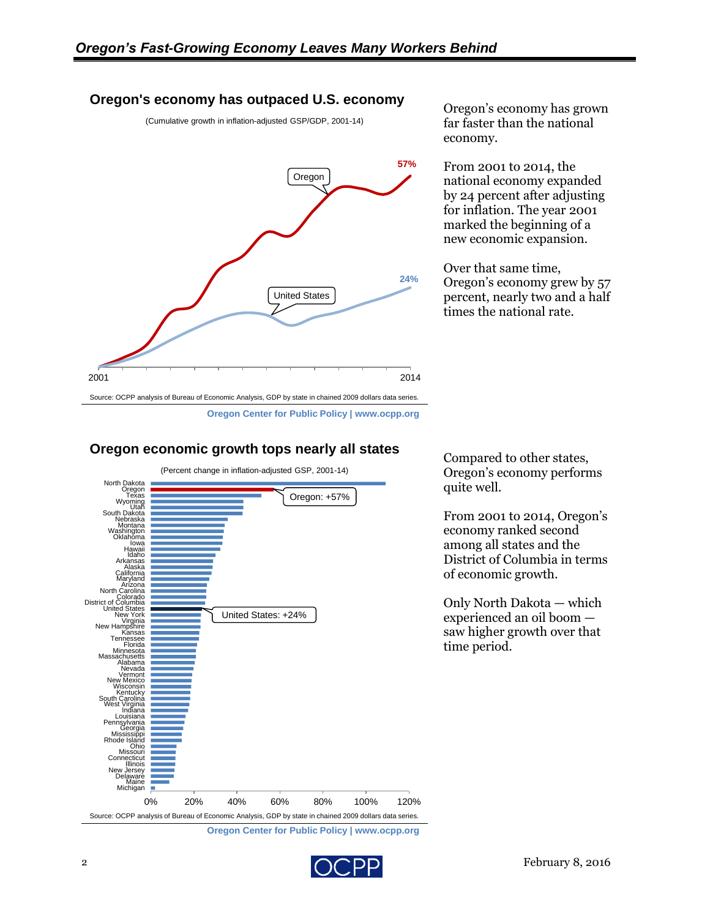#### **Oregon's economy has outpaced U.S. economy**

(Cumulative growth in inflation-adjusted GSP/GDP, 2001-14)



Oregon's economy has grown far faster than the national economy.

From 2001 to 2014, the national economy expanded by 24 percent after adjusting for inflation. The year 2001 marked the beginning of a new economic expansion.

Over that same time, Oregon's economy grew by 57 percent, nearly two and a half times the national rate.

Compared to other states, Oregon's economy performs

From 2001 to 2014, Oregon's economy ranked second among all states and the District of Columbia in terms

Only North Dakota — which experienced an oil boom saw higher growth over that

of economic growth.

quite well.

time period.



### **Oregon economic growth tops nearly all states**



**Oregon Center for Public Policy | www.ocpp.org**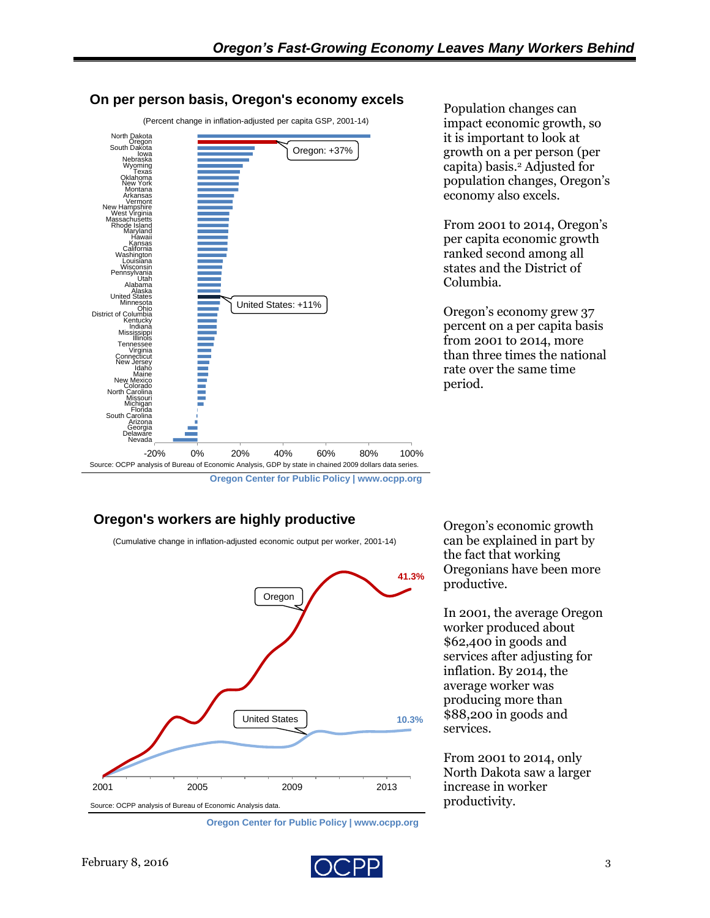

#### **On per person basis, Oregon's economy excels**

### **Oregon's workers are highly productive**

(Cumulative change in inflation-adjusted economic output per worker, 2001-14)



**Oregon Center for Public Policy | www.ocpp.org**

Population changes can impact economic growth, so it is important to look at growth on a per person (per capita) basis.<sup>2</sup> Adjusted for population changes, Oregon's economy also excels.

From 2001 to 2014, Oregon's per capita economic growth ranked second among all states and the District of Columbia.

Oregon's economy grew 37 percent on a per capita basis from 2001 to 2014, more than three times the national rate over the same time period.

Oregon's economic growth can be explained in part by the fact that working Oregonians have been more productive.

In 2001, the average Oregon worker produced about \$62,400 in goods and services after adjusting for inflation. By 2014, the average worker was producing more than \$88,200 in goods and services.

From 2001 to 2014, only North Dakota saw a larger increase in worker productivity.



**Oregon Center for Public Policy | www.ocpp.org**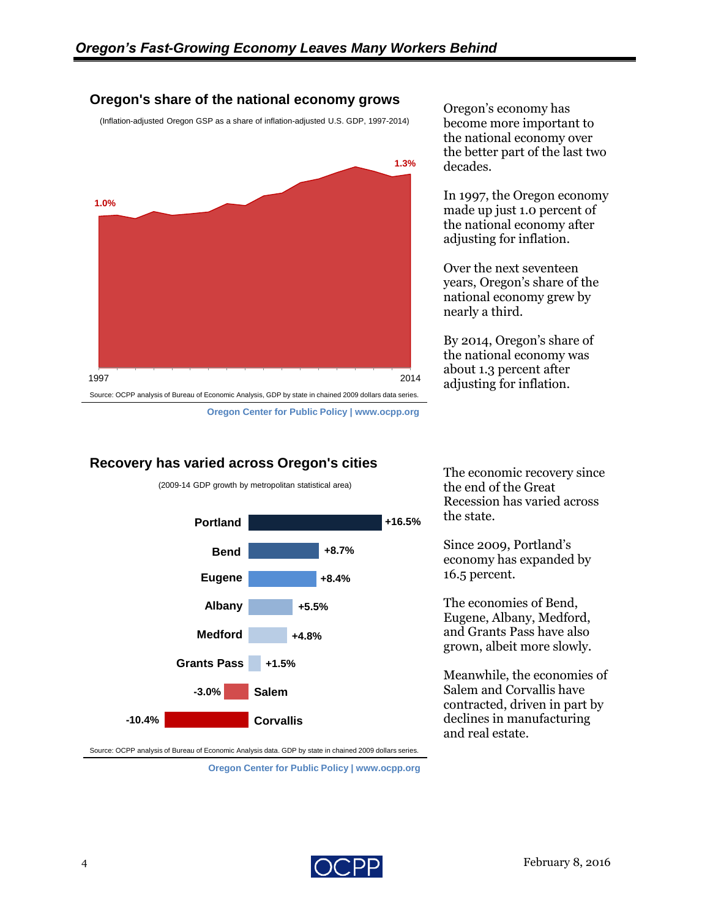#### **Oregon's share of the national economy grows**

(Inflation-adjusted Oregon GSP as a share of inflation-adjusted U.S. GDP, 1997-2014)



Oregon's economy has become more important to the national economy over the better part of the last two decades.

In 1997, the Oregon economy made up just 1.0 percent of the national economy after adjusting for inflation.

Over the next seventeen years, Oregon's share of the national economy grew by nearly a third.

By 2014, Oregon's share of the national economy was about 1.3 percent after adjusting for inflation.

## **Recovery has varied across Oregon's cities**



(2009-14 GDP growth by metropolitan statistical area)

The economic recovery since the end of the Great Recession has varied across the state.

Since 2009, Portland's economy has expanded by 16.5 percent.

The economies of Bend, Eugene, Albany, Medford, and Grants Pass have also grown, albeit more slowly.

Meanwhile, the economies of Salem and Corvallis have contracted, driven in part by declines in manufacturing and real estate.

Source: OCPP analysis of Bureau of Economic Analysis data. GDP by state in chained 2009 dollars series.

**Oregon Center for Public Policy | www.ocpp.org**